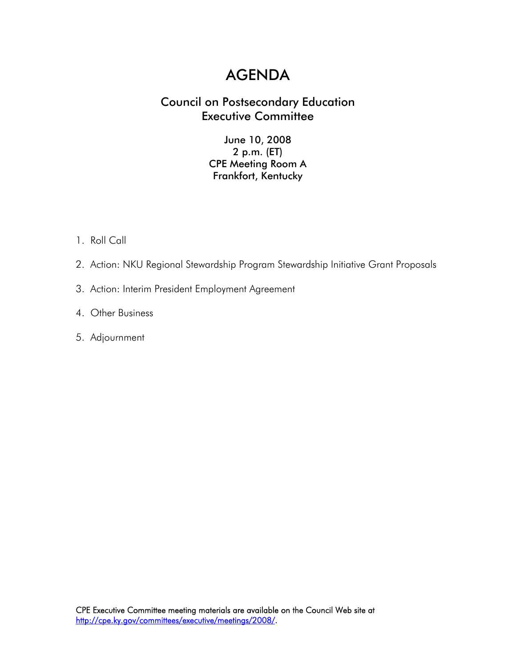# AGENDA

# Council on Postsecondary Education Executive Committee

## June 10, 2008 2 p.m. (ET) CPE Meeting Room A Frankfort, Kentucky

- 1. Roll Call
- 2. Action: NKU Regional Stewardship Program Stewardship Initiative Grant Proposals
- 3. Action: Interim President Employment Agreement
- 4. Other Business
- 5. Adjournment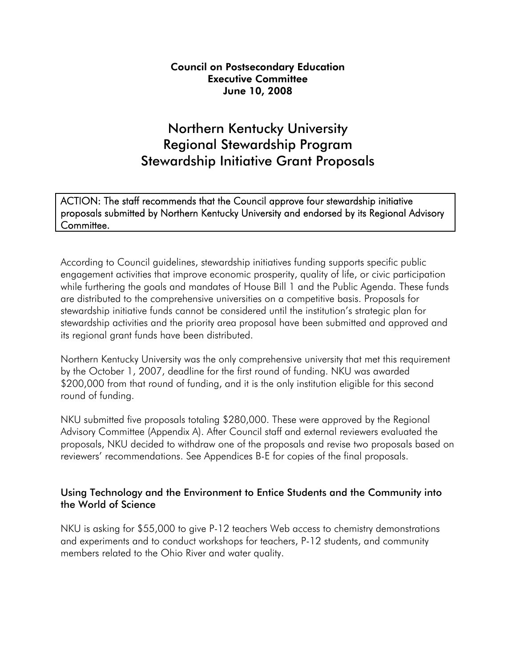#### Council on Postsecondary Education Executive Committee June 10, 2008

# Northern Kentucky University Regional Stewardship Program Stewardship Initiative Grant Proposals

ACTION: The staff recommends that the Council approve four stewardship initiative proposals submitted by Northern Kentucky University and endorsed by its Regional Advisory Committee.

According to Council guidelines, stewardship initiatives funding supports specific public engagement activities that improve economic prosperity, quality of life, or civic participation while furthering the goals and mandates of House Bill 1 and the Public Agenda. These funds are distributed to the comprehensive universities on a competitive basis. Proposals for stewardship initiative funds cannot be considered until the institution's strategic plan for stewardship activities and the priority area proposal have been submitted and approved and its regional grant funds have been distributed.

Northern Kentucky University was the only comprehensive university that met this requirement by the October 1, 2007, deadline for the first round of funding. NKU was awarded \$200,000 from that round of funding, and it is the only institution eligible for this second round of funding.

NKU submitted five proposals totaling \$280,000. These were approved by the Regional Advisory Committee (Appendix A). After Council staff and external reviewers evaluated the proposals, NKU decided to withdraw one of the proposals and revise two proposals based on reviewers' recommendations. See Appendices B-E for copies of the final proposals.

## Using Technology and the Environment to Entice Students and the Community into the World of Science

NKU is asking for \$55,000 to give P-12 teachers Web access to chemistry demonstrations and experiments and to conduct workshops for teachers, P-12 students, and community members related to the Ohio River and water quality.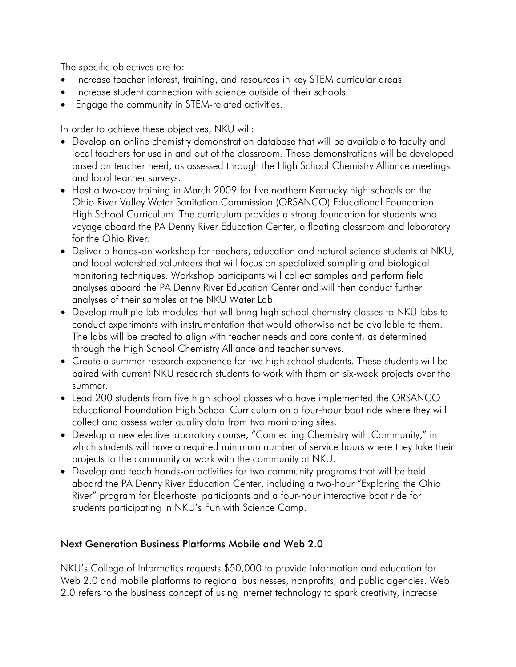The specific objectives are to:

- Increase teacher interest, training, and resources in key STEM curricular areas.
- Increase student connection with science outside of their schools.
- Engage the community in STEM-related activities.

In order to achieve these objectives, NKU will:

- Develop an online chemistry demonstration database that will be available to faculty and local teachers for use in and out of the classroom. These demonstrations will be developed based on teacher need, as assessed through the High School Chemistry Alliance meetings and local teacher surveys.
- Host a two-day training in March 2009 for five northern Kentucky high schools on the Ohio River Valley Water Sanitation Commission (ORSANCO) Educational Foundation High School Curriculum. The curriculum provides a strong foundation for students who voyage aboard the PA Denny River Education Center, a floating classroom and laboratory for the Ohio River.
- Deliver a hands-on workshop for teachers, education and natural science students at NKU, and local watershed volunteers that will focus on specialized sampling and biological monitoring techniques. Workshop participants will collect samples and perform field analyses aboard the PA Denny River Education Center and will then conduct further analyses of their samples at the NKU Water Lab.
- Develop multiple lab modules that will bring high school chemistry classes to NKU labs to conduct experiments with instrumentation that would otherwise not be available to them. The labs will be created to align with teacher needs and core content, as determined through the High School Chemistry Alliance and teacher surveys.
- Create a summer research experience for five high school students. These students will be paired with current NKU research students to work with them on six-week projects over the summer.
- Lead 200 students from five high school classes who have implemented the ORSANCO Educational Foundation High School Curriculum on a four-hour boat ride where they will collect and assess water quality data from two monitoring sites.
- Develop a new elective laboratory course, "Connecting Chemistry with Community," in which students will have a required minimum number of service hours where they take their projects to the community or work with the community at NKU.
- Develop and teach hands-on activities for two community programs that will be held aboard the PA Denny River Education Center, including a two-hour "Exploring the Ohio River" program for Elderhostel participants and a four-hour interactive boat ride for students participating in NKU's Fun with Science Camp.

# Next Generation Business Platforms Mobile and Web 2.0

NKU's College of Informatics requests \$50,000 to provide information and education for Web 2.0 and mobile platforms to regional businesses, nonprofits, and public agencies. Web 2.0 refers to the business concept of using Internet technology to spark creativity, increase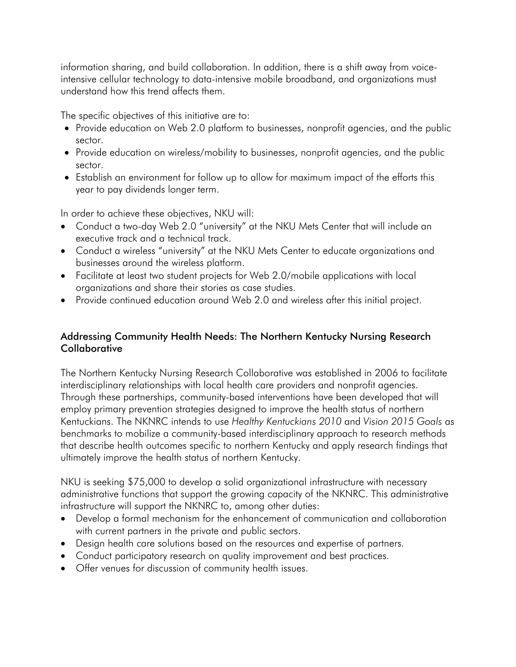information sharing, and build collaboration. In addition, there is a shift away from voiceintensive cellular technology to data-intensive mobile broadband, and organizations must understand how this trend affects them.

The specific objectives of this initiative are to:

- Provide education on Web 2.0 platform to businesses, nonprofit agencies, and the public sector.
- Provide education on wireless/mobility to businesses, nonprofit agencies, and the public sector.
- Establish an environment for follow up to allow for maximum impact of the efforts this year to pay dividends longer term.

In order to achieve these objectives, NKU will:

- Conduct a two-day Web 2.0 "university" at the NKU Mets Center that will include an executive track and a technical track.
- Conduct a wireless "university" at the NKU Mets Center to educate organizations and businesses around the wireless platform.
- Facilitate at least two student projects for Web 2.0/mobile applications with local organizations and share their stories as case studies.
- Provide continued education around Web 2.0 and wireless after this initial project.

## Addressing Community Health Needs: The Northern Kentucky Nursing Research **Collaborative**

The Northern Kentucky Nursing Research Collaborative was established in 2006 to facilitate interdisciplinary relationships with local health care providers and nonprofit agencies. Through these partnerships, community-based interventions have been developed that will employ primary prevention strategies designed to improve the health status of northern Kentuckians. The NKNRC intends to use *Healthy Kentuckians 2010* and *Vision 2015 Goals* as benchmarks to mobilize a community-based interdisciplinary approach to research methods that describe health outcomes specific to northern Kentucky and apply research findings that ultimately improve the health status of northern Kentucky.

NKU is seeking \$75,000 to develop a solid organizational infrastructure with necessary administrative functions that support the growing capacity of the NKNRC. This administrative infrastructure will support the NKNRC to, among other duties:

- Develop a formal mechanism for the enhancement of communication and collaboration with current partners in the private and public sectors.
- Design health care solutions based on the resources and expertise of partners.
- Conduct participatory research on quality improvement and best practices.
- Offer venues for discussion of community health issues.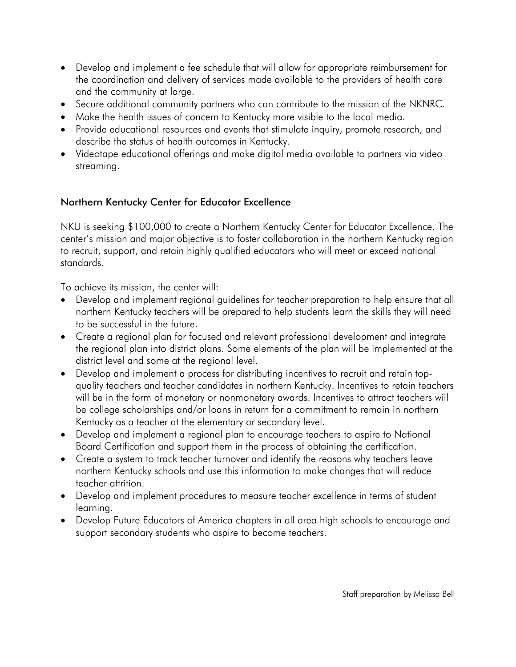- Develop and implement a fee schedule that will allow for appropriate reimbursement for the coordination and delivery of services made available to the providers of health care and the community at large.
- Secure additional community partners who can contribute to the mission of the NKNRC.
- Make the health issues of concern to Kentucky more visible to the local media.
- Provide educational resources and events that stimulate inquiry, promote research, and describe the status of health outcomes in Kentucky.
- Videotape educational offerings and make digital media available to partners via video streaming.

# Northern Kentucky Center for Educator Excellence

NKU is seeking \$100,000 to create a Northern Kentucky Center for Educator Excellence. The center's mission and major objective is to foster collaboration in the northern Kentucky region to recruit, support, and retain highly qualified educators who will meet or exceed national standards.

To achieve its mission, the center will:

- Develop and implement regional guidelines for teacher preparation to help ensure that all northern Kentucky teachers will be prepared to help students learn the skills they will need to be successful in the future.
- Create a regional plan for focused and relevant professional development and integrate the regional plan into district plans. Some elements of the plan will be implemented at the district level and some at the regional level.
- Develop and implement a process for distributing incentives to recruit and retain topquality teachers and teacher candidates in northern Kentucky. Incentives to retain teachers will be in the form of monetary or nonmonetary awards. Incentives to attract teachers will be college scholarships and/or loans in return for a commitment to remain in northern Kentucky as a teacher at the elementary or secondary level.
- Develop and implement a regional plan to encourage teachers to aspire to National Board Certification and support them in the process of obtaining the certification.
- Create a system to track teacher turnover and identify the reasons why teachers leave northern Kentucky schools and use this information to make changes that will reduce teacher attrition.
- Develop and implement procedures to measure teacher excellence in terms of student learning.
- Develop Future Educators of America chapters in all area high schools to encourage and support secondary students who aspire to become teachers.